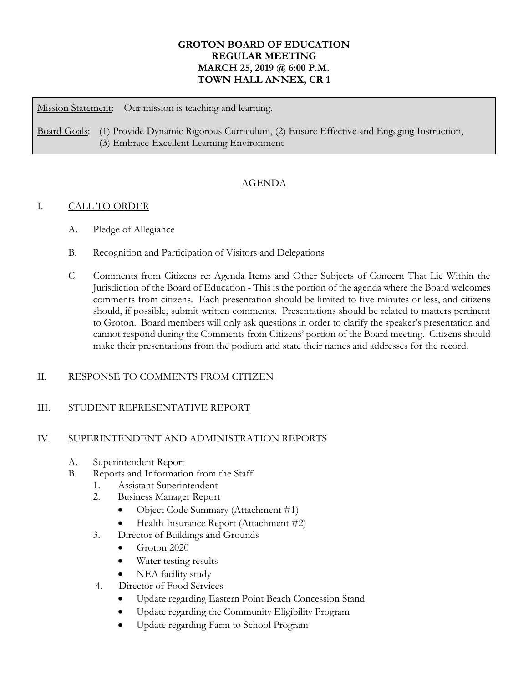# **GROTON BOARD OF EDUCATION REGULAR MEETING MARCH 25, 2019 @ 6:00 P.M. TOWN HALL ANNEX, CR 1**

Mission Statement: Our mission is teaching and learning.

Board Goals: (1) Provide Dynamic Rigorous Curriculum, (2) Ensure Effective and Engaging Instruction, (3) Embrace Excellent Learning Environment

# AGENDA

# I. CALL TO ORDER

- A. Pledge of Allegiance
- B. Recognition and Participation of Visitors and Delegations
- C. Comments from Citizens re: Agenda Items and Other Subjects of Concern That Lie Within the Jurisdiction of the Board of Education - This is the portion of the agenda where the Board welcomes comments from citizens. Each presentation should be limited to five minutes or less, and citizens should, if possible, submit written comments. Presentations should be related to matters pertinent to Groton. Board members will only ask questions in order to clarify the speaker's presentation and cannot respond during the Comments from Citizens' portion of the Board meeting. Citizens should make their presentations from the podium and state their names and addresses for the record.

# II. RESPONSE TO COMMENTS FROM CITIZEN

### III. STUDENT REPRESENTATIVE REPORT

### IV. SUPERINTENDENT AND ADMINISTRATION REPORTS

- A. Superintendent Report
- B. Reports and Information from the Staff
	- 1. Assistant Superintendent
	- 2. Business Manager Report
		- Object Code Summary (Attachment #1)
		- Health Insurance Report (Attachment #2)
	- 3. Director of Buildings and Grounds
		- Groton 2020
		- Water testing results
		- NEA facility study
	- 4. Director of Food Services
		- Update regarding Eastern Point Beach Concession Stand
		- Update regarding the Community Eligibility Program
		- Update regarding Farm to School Program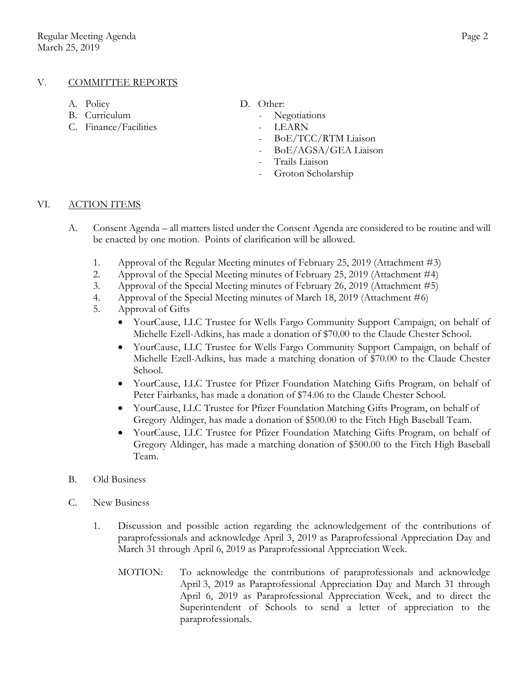### V. COMMITTEE REPORTS

- 
- B. Curriculum Negotiations
- C. Finance/Facilities LEARN
- A. Policy D. Other:
	-
	-
	- BoE/TCC/RTM Liaison
	- BoE/AGSA/GEA Liaison
	- Trails Liaison
	- Groton Scholarship

#### VI. ACTION ITEMS

- A. Consent Agenda all matters listed under the Consent Agenda are considered to be routine and will be enacted by one motion. Points of clarification will be allowed.
	- 1. Approval of the Regular Meeting minutes of February 25, 2019 (Attachment #3)
	- 2. Approval of the Special Meeting minutes of February 25, 2019 (Attachment #4)
	- 3. Approval of the Special Meeting minutes of February 26, 2019 (Attachment #5)
	- 4. Approval of the Special Meeting minutes of March 18, 2019 (Attachment #6)
	- 5. Approval of Gifts
		- YourCause, LLC Trustee for Wells Fargo Community Support Campaign, on behalf of Michelle Ezell-Adkins, has made a donation of \$70.00 to the Claude Chester School.
		- YourCause, LLC Trustee for Wells Fargo Community Support Campaign, on behalf of Michelle Ezell-Adkins, has made a matching donation of \$70.00 to the Claude Chester School.
		- YourCause, LLC Trustee for Pfizer Foundation Matching Gifts Program, on behalf of Peter Fairbanks, has made a donation of \$74.06 to the Claude Chester School.
		- YourCause, LLC Trustee for Pfizer Foundation Matching Gifts Program, on behalf of Gregory Aldinger, has made a donation of \$500.00 to the Fitch High Baseball Team.
		- YourCause, LLC Trustee for Pfizer Foundation Matching Gifts Program, on behalf of Gregory Aldinger, has made a matching donation of \$500.00 to the Fitch High Baseball Team.
- B. Old Business
- C. New Business
	- 1. Discussion and possible action regarding the acknowledgement of the contributions of paraprofessionals and acknowledge April 3, 2019 as Paraprofessional Appreciation Day and March 31 through April 6, 2019 as Paraprofessional Appreciation Week.
		- MOTION: To acknowledge the contributions of paraprofessionals and acknowledge April 3, 2019 as Paraprofessional Appreciation Day and March 31 through April 6, 2019 as Paraprofessional Appreciation Week, and to direct the Superintendent of Schools to send a letter of appreciation to the paraprofessionals.